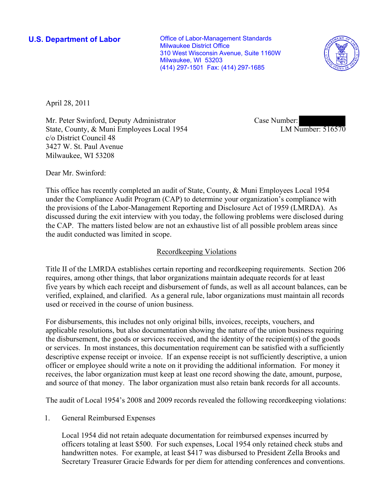**U.S. Department of Labor Conservative Conservative Conservative Conservative Conservative Conservative Conservative Conservative Conservative Conservative Conservative Conservative Conservative Conservative Conservative** Milwaukee District Office 310 West Wisconsin Avenue, Suite 1160W Milwaukee, WI 53203 (414) 297-1501 Fax: (414) 297-1685



April 28, 2011

Mr. Peter Swinford, Deputy Administrator State, County, & Muni Employees Local 1954 c/o District Council 48 3427 W. St. Paul Avenue Milwaukee, WI 53208

Case Number: LM Number: 516570

Dear Mr. Swinford:

This office has recently completed an audit of State, County, & Muni Employees Local 1954 under the Compliance Audit Program (CAP) to determine your organization's compliance with the provisions of the Labor-Management Reporting and Disclosure Act of 1959 (LMRDA). As discussed during the exit interview with you today, the following problems were disclosed during the CAP. The matters listed below are not an exhaustive list of all possible problem areas since the audit conducted was limited in scope.

#### Recordkeeping Violations

Title II of the LMRDA establishes certain reporting and recordkeeping requirements. Section 206 requires, among other things, that labor organizations maintain adequate records for at least five years by which each receipt and disbursement of funds, as well as all account balances, can be verified, explained, and clarified. As a general rule, labor organizations must maintain all records used or received in the course of union business.

For disbursements, this includes not only original bills, invoices, receipts, vouchers, and applicable resolutions, but also documentation showing the nature of the union business requiring the disbursement, the goods or services received, and the identity of the recipient(s) of the goods or services. In most instances, this documentation requirement can be satisfied with a sufficiently descriptive expense receipt or invoice. If an expense receipt is not sufficiently descriptive, a union officer or employee should write a note on it providing the additional information. For money it receives, the labor organization must keep at least one record showing the date, amount, purpose, and source of that money. The labor organization must also retain bank records for all accounts.

The audit of Local 1954's 2008 and 2009 records revealed the following recordkeeping violations:

1. General Reimbursed Expenses

Local 1954 did not retain adequate documentation for reimbursed expenses incurred by officers totaling at least \$500. For such expenses, Local 1954 only retained check stubs and handwritten notes. For example, at least \$417 was disbursed to President Zella Brooks and Secretary Treasurer Gracie Edwards for per diem for attending conferences and conventions.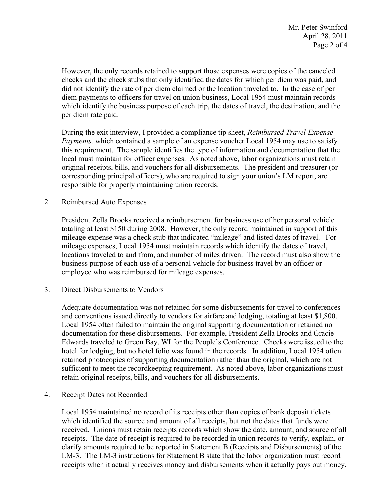However, the only records retained to support those expenses were copies of the canceled checks and the check stubs that only identified the dates for which per diem was paid, and did not identify the rate of per diem claimed or the location traveled to. In the case of per diem payments to officers for travel on union business, Local 1954 must maintain records which identify the business purpose of each trip, the dates of travel, the destination, and the per diem rate paid.

During the exit interview, I provided a compliance tip sheet, *Reimbursed Travel Expense Payments,* which contained a sample of an expense voucher Local 1954 may use to satisfy this requirement. The sample identifies the type of information and documentation that the local must maintain for officer expenses. As noted above, labor organizations must retain original receipts, bills, and vouchers for all disbursements. The president and treasurer (or corresponding principal officers), who are required to sign your union's LM report, are responsible for properly maintaining union records.

2. Reimbursed Auto Expenses

President Zella Brooks received a reimbursement for business use of her personal vehicle totaling at least \$150 during 2008. However, the only record maintained in support of this mileage expense was a check stub that indicated "mileage" and listed dates of travel. For mileage expenses, Local 1954 must maintain records which identify the dates of travel, locations traveled to and from, and number of miles driven. The record must also show the business purpose of each use of a personal vehicle for business travel by an officer or employee who was reimbursed for mileage expenses.

3. Direct Disbursements to Vendors

Adequate documentation was not retained for some disbursements for travel to conferences and conventions issued directly to vendors for airfare and lodging, totaling at least \$1,800. Local 1954 often failed to maintain the original supporting documentation or retained no documentation for these disbursements. For example, President Zella Brooks and Gracie Edwards traveled to Green Bay, WI for the People's Conference. Checks were issued to the hotel for lodging, but no hotel folio was found in the records. In addition, Local 1954 often retained photocopies of supporting documentation rather than the original, which are not sufficient to meet the recordkeeping requirement. As noted above, labor organizations must retain original receipts, bills, and vouchers for all disbursements.

4. Receipt Dates not Recorded

Local 1954 maintained no record of its receipts other than copies of bank deposit tickets which identified the source and amount of all receipts, but not the dates that funds were received. Unions must retain receipts records which show the date, amount, and source of all receipts. The date of receipt is required to be recorded in union records to verify, explain, or clarify amounts required to be reported in Statement B (Receipts and Disbursements) of the LM-3. The LM-3 instructions for Statement B state that the labor organization must record receipts when it actually receives money and disbursements when it actually pays out money.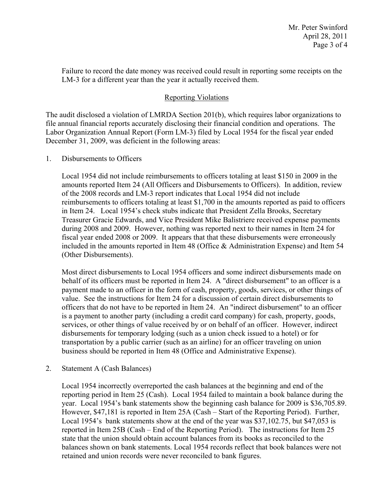Failure to record the date money was received could result in reporting some receipts on the LM-3 for a different year than the year it actually received them.

# Reporting Violations

The audit disclosed a violation of LMRDA Section 201(b), which requires labor organizations to file annual financial reports accurately disclosing their financial condition and operations. The Labor Organization Annual Report (Form LM-3) filed by Local 1954 for the fiscal year ended December 31, 2009, was deficient in the following areas:

### 1. Disbursements to Officers

Local 1954 did not include reimbursements to officers totaling at least \$150 in 2009 in the amounts reported Item 24 (All Officers and Disbursements to Officers). In addition, review of the 2008 records and LM-3 report indicates that Local 1954 did not include reimbursements to officers totaling at least \$1,700 in the amounts reported as paid to officers in Item 24. Local 1954's check stubs indicate that President Zella Brooks, Secretary Treasurer Gracie Edwards, and Vice President Mike Balistriere received expense payments during 2008 and 2009. However, nothing was reported next to their names in Item 24 for fiscal year ended 2008 or 2009. It appears that that these disbursements were erroneously included in the amounts reported in Item 48 (Office & Administration Expense) and Item 54 (Other Disbursements).

Most direct disbursements to Local 1954 officers and some indirect disbursements made on behalf of its officers must be reported in Item 24. A "direct disbursement" to an officer is a payment made to an officer in the form of cash, property, goods, services, or other things of value. See the instructions for Item 24 for a discussion of certain direct disbursements to officers that do not have to be reported in Item 24. An "indirect disbursement" to an officer is a payment to another party (including a credit card company) for cash, property, goods, services, or other things of value received by or on behalf of an officer. However, indirect disbursements for temporary lodging (such as a union check issued to a hotel) or for transportation by a public carrier (such as an airline) for an officer traveling on union business should be reported in Item 48 (Office and Administrative Expense).

## 2. Statement A (Cash Balances)

Local 1954 incorrectly overreported the cash balances at the beginning and end of the reporting period in Item 25 (Cash). Local 1954 failed to maintain a book balance during the year. Local 1954's bank statements show the beginning cash balance for 2009 is \$36,705.89. However, \$47,181 is reported in Item 25A (Cash – Start of the Reporting Period). Further, Local 1954's bank statements show at the end of the year was \$37,102.75, but \$47,053 is reported in Item 25B (Cash – End of the Reporting Period). The instructions for Item 25 state that the union should obtain account balances from its books as reconciled to the balances shown on bank statements. Local 1954 records reflect that book balances were not retained and union records were never reconciled to bank figures.